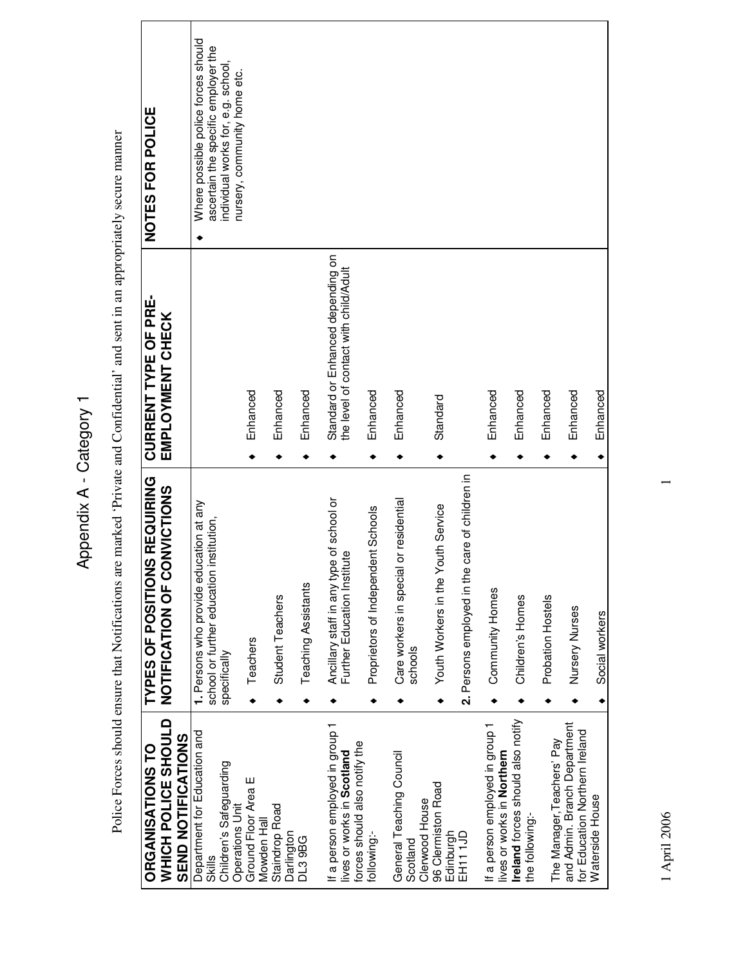## Appendix A - Category 1 Appendix A - Category 1

Police Forces should ensure that Notifications are marked 'Private and Confidential' and sent in an appropriately secure manner Police Forces should ensure that Notifications are marked 'Private and Confidential' and sent in an appropriately secure manner

| <b>ORGANISATIONS TO</b>                                                                            | TYPES OF POSITIONS REQUIRING                                                                             | <b>CURRENT TYPE OF PRE-</b>                                                | NOTES FOR POLICE                                                                                                 |  |
|----------------------------------------------------------------------------------------------------|----------------------------------------------------------------------------------------------------------|----------------------------------------------------------------------------|------------------------------------------------------------------------------------------------------------------|--|
| <b>WHICH POLICE SHOULD</b><br>SEND NOTIFICATIONS                                                   | NVICTIONS<br><b>OO LO ZOILYULILOZ</b>                                                                    | EMPLOYMENT CHECK                                                           |                                                                                                                  |  |
| Department for Education and<br>Children's Safeguarding<br><b>Operations Unit</b><br><b>Skills</b> | 1. Persons who provide education at any<br>nstitution,<br>school or further education in<br>specifically |                                                                            | Where possible police forces should<br>ascertain the specific employer the<br>individual works for, e.g. school, |  |
| Ground Floor Area E<br>Mowden Hall                                                                 | Teachers                                                                                                 | Enhanced                                                                   | nursery, community home etc.                                                                                     |  |
| <b>Staindrop Road</b><br>Darlington                                                                | Student Teachers                                                                                         | Enhanced                                                                   |                                                                                                                  |  |
| <b>DL39BG</b>                                                                                      | Teaching Assistants                                                                                      | Enhanced                                                                   |                                                                                                                  |  |
| If a person employed in group 1<br>lives or works in Scotland                                      | Ancillary staff in any type of school or<br>Further Education Institute                                  | Standard or Enhanced depending on<br>the level of contact with child/Adult |                                                                                                                  |  |
| forces should also notify the<br>following:-                                                       | Proprietors of Independent Schools                                                                       | Enhanced                                                                   |                                                                                                                  |  |
| General Teaching Council<br>Clerwood House<br>Scotland                                             | or residential<br>Care workers in special<br>schools                                                     | Enhanced                                                                   |                                                                                                                  |  |
| 96 Clermiston Road<br>Edinburgh                                                                    | Youth Workers in the Youth Service                                                                       | Standard                                                                   |                                                                                                                  |  |
| EH111JD                                                                                            | 2. Persons employed in the care of children in                                                           |                                                                            |                                                                                                                  |  |
| If a person employed in group 1<br>lives or works in Northern                                      | Community Homes                                                                                          | Enhanced                                                                   |                                                                                                                  |  |
| Ireland forces should also notify<br>the following:-                                               | Children's Homes                                                                                         | Enhanced                                                                   |                                                                                                                  |  |
| The Manager, Teachers' Pay                                                                         | Probation Hostels                                                                                        | Enhanced                                                                   |                                                                                                                  |  |
| and Admin. Branch Department<br>for Education Northern Ireland                                     | Nursery Nurses                                                                                           | Enhanced                                                                   |                                                                                                                  |  |
| Waterside House                                                                                    | Social workers                                                                                           | Enhanced                                                                   |                                                                                                                  |  |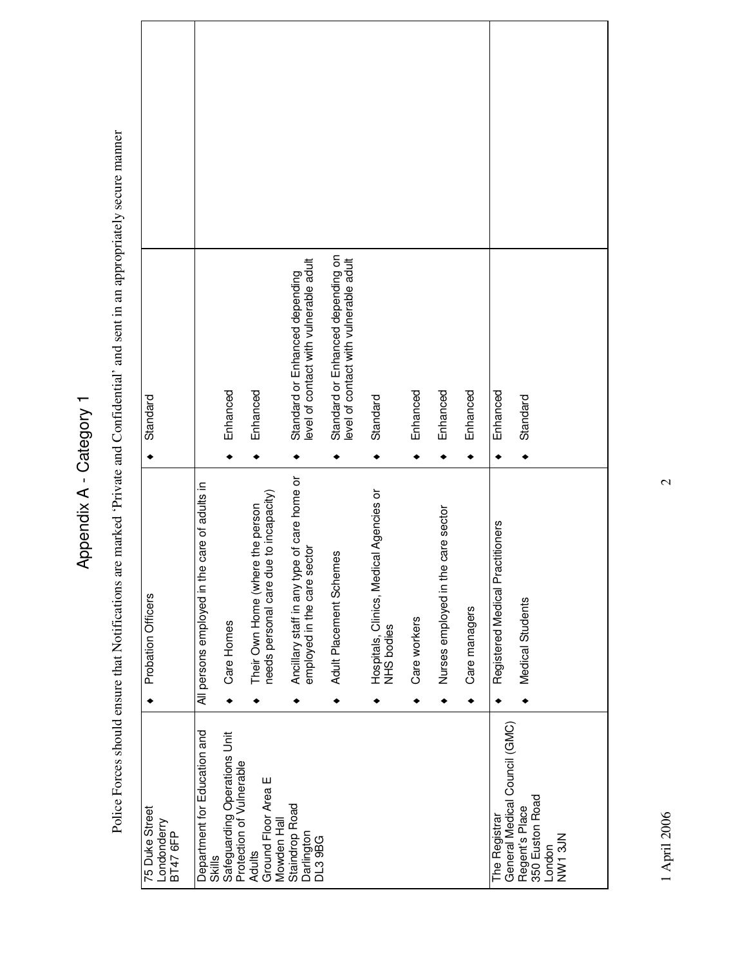| ١                                                                               |
|---------------------------------------------------------------------------------|
| ĵ                                                                               |
|                                                                                 |
| ì                                                                               |
|                                                                                 |
|                                                                                 |
| ֧ׅ֧֧֧ׅ֧֧ׅ֧֧֛ׅ֧֧ׅ֧ׅ֧֪֛֪֛֛֛֛֛֛֛֪֛֛֪֛֪֛֛֚֚֚֚֚֚֚֚֚֚֚֚֚֚֚֚֚֚֚֚֬֡֡֡֜֓֝֓֝֬֜֝֬֜֝֓֜֓֝֬֜֜ |
| ¢                                                                               |
|                                                                                 |
| ı                                                                               |
|                                                                                 |
| 3                                                                               |
|                                                                                 |
|                                                                                 |
|                                                                                 |
|                                                                                 |
|                                                                                 |
| J                                                                               |
|                                                                                 |
|                                                                                 |
|                                                                                 |
|                                                                                 |

| 75 Duke Street<br>Londonderry<br>BT47 6FP                | Probation Officers                                                               | Standard |                                                                             |  |
|----------------------------------------------------------|----------------------------------------------------------------------------------|----------|-----------------------------------------------------------------------------|--|
| Department for Education and<br><b>Skills</b>            | care of adults in<br>All persons employed in the                                 |          |                                                                             |  |
| Safeguarding Operations Unit<br>Protection of Vulnerable | Care Homes                                                                       | Enhanced |                                                                             |  |
| Ground Floor Area E<br>Mowden Hal<br><b>Adults</b>       | to incapacity)<br>the person<br>Their Own Home (where<br>needs personal care due | Enhanced |                                                                             |  |
| Staindrop Road<br>Darlington<br><b>DL39BG</b>            | Ancillary staff in any type of care home or<br>employed in the care sector       |          | level of contact with vulnerable adult<br>Standard or Enhanced depending    |  |
|                                                          | Adult Placement Schemes                                                          |          | Standard or Enhanced depending on<br>level of contact with vulnerable adult |  |
|                                                          | Hospitals, Clinics, Medical Agencies or<br>NHS bodies                            | Standard |                                                                             |  |
|                                                          | Care workers                                                                     | Enhanced |                                                                             |  |
|                                                          | care sector<br>Nurses employed in the                                            | Enhanced |                                                                             |  |
|                                                          | Care managers                                                                    | Enhanced |                                                                             |  |
| General Medical Council (GMC)<br>The Registrar           | Registered Medical Practitioners                                                 | Enhanced |                                                                             |  |
| 350 Euston Road<br>Regent's Place<br>London              | Medical Students                                                                 | Standard |                                                                             |  |
| NW13JN                                                   |                                                                                  |          |                                                                             |  |
|                                                          |                                                                                  |          |                                                                             |  |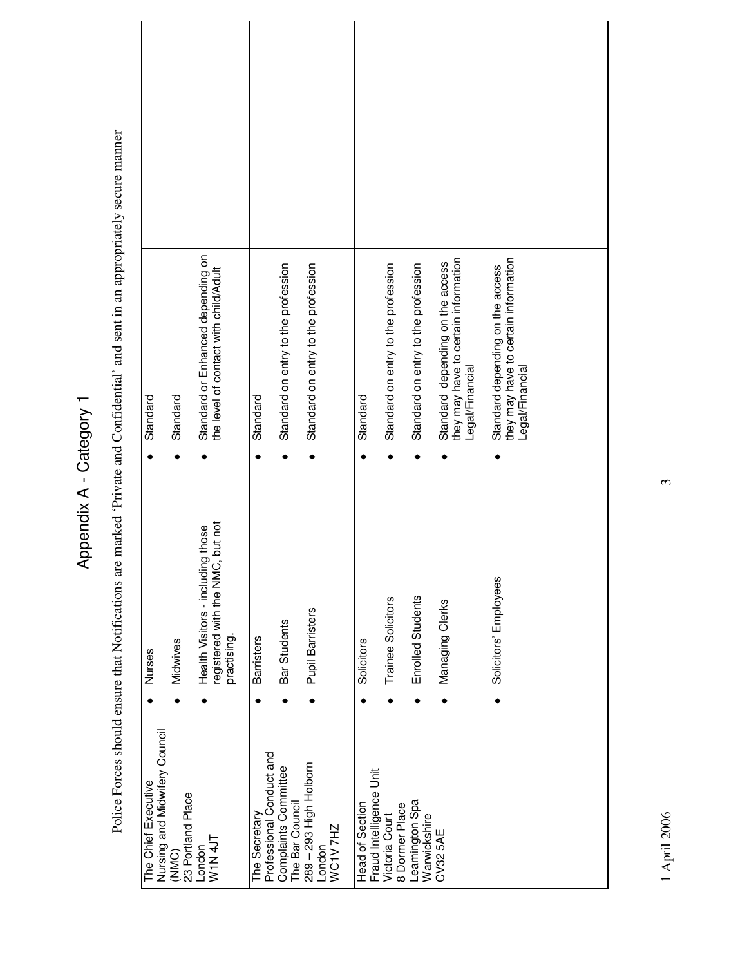| ١      |
|--------|
| Í      |
|        |
|        |
| i<br>۱ |
|        |
| ž      |
| ;      |
|        |
|        |
|        |
|        |
|        |
|        |
|        |
|        |
|        |
|        |
|        |
|        |
|        |
|        |
|        |
| Ì      |
|        |
|        |
|        |

| The Chief Executive                                         | Nurses                                                                                  | Standard                                                                                    |  |
|-------------------------------------------------------------|-----------------------------------------------------------------------------------------|---------------------------------------------------------------------------------------------|--|
| Nursing and Midwifery Council<br>23 Portland Place<br>(NMC) | Midwives                                                                                | Standard                                                                                    |  |
| W1N4JT<br>London                                            | but not<br>Health Visitors - including those<br>registered with the NMC,<br>practising. | Standard or Enhanced depending on<br>the level of contact with child/Adult                  |  |
| Professional Conduct and<br>The Secretary                   | <b>Barristers</b>                                                                       | Standard                                                                                    |  |
| Complaints Committee<br>The Bar Council                     | Bar Students                                                                            | Standard on entry to the profession                                                         |  |
| 289 - 293 High Holborn<br>WC1V 7HZ<br>London                | Pupil Barristers                                                                        | Standard on entry to the profession                                                         |  |
| Fraud Intelligence Unit<br>Head of Section                  | Solicitors                                                                              | Standard                                                                                    |  |
| 8 Dormer Place<br>Victoria Court                            | Trainee Solicitors                                                                      | Standard on entry to the profession                                                         |  |
| Leamington Spa<br>Warwickshire                              | Enrolled Students                                                                       | Standard on entry to the profession                                                         |  |
| CV32 5AE                                                    | Managing Clerks                                                                         | they may have to certain information<br>Standard depending on the access<br>Legal/Financial |  |
|                                                             | Solicitors' Employees                                                                   | they may have to certain information<br>Standard depending on the access<br>Legal/Financial |  |
|                                                             |                                                                                         |                                                                                             |  |
|                                                             |                                                                                         |                                                                                             |  |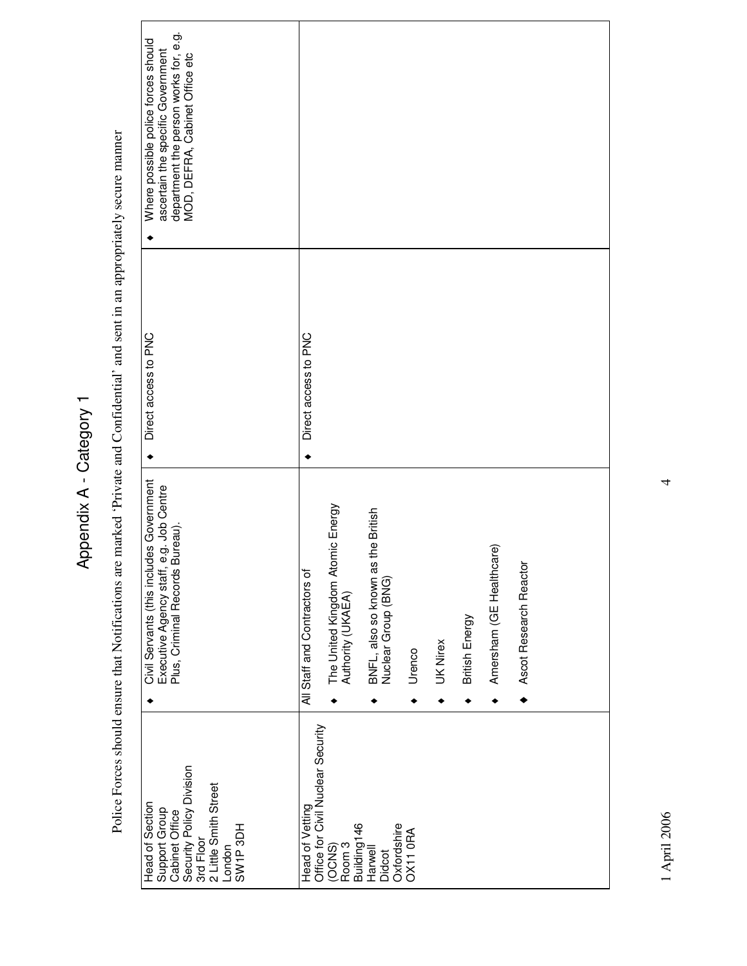## Appendix A - Category 1 Appendix A - Category 1

Police Forces should ensure that Notifications are marked 'Private and Confidential' and sent in an appropriately secure manner Police Forces should ensure that Notifications are marked 'Private and Confidential' and sent in an appropriately secure manner

| department the person works for, e.g.<br>Where possible police forces should<br>ascertain the specific Government<br>MOD, DEFRA, Cabinet Office etc |                                                      |                                                       |                                                              |          |                 |                |                          |                        |  |  |
|-----------------------------------------------------------------------------------------------------------------------------------------------------|------------------------------------------------------|-------------------------------------------------------|--------------------------------------------------------------|----------|-----------------|----------------|--------------------------|------------------------|--|--|
| Direct access to PNC                                                                                                                                | Direct access to PNC                                 |                                                       |                                                              |          |                 |                |                          |                        |  |  |
| Civil Servants (this includes Government<br>Executive Agency staff, e.g. Job Centre<br>Plus, Criminal Records Bureau).                              | All Staff and Contractors of                         | The United Kingdom Atomic Energy<br>Authority (UKAEA) | the British<br>BNFL, also so known as<br>Nuclear Group (BNG) | Urenco   | <b>UK Nirex</b> | British Energy | Amersham (GE Healthcare) | Ascot Research Reactor |  |  |
| Security Policy Division<br>2 Little Smith Street<br>Head of Section<br>Support Group<br>Cabinet Office<br>SW1P3DH<br>3rd Floor<br>London           | Head of Vetting<br>Office for Civil Nuclear Security | Building146<br>Room <sub>3</sub><br>(OCNS)            | Oxfordshire<br>Harwell<br>Didcot                             | OX11 ORA |                 |                |                          |                        |  |  |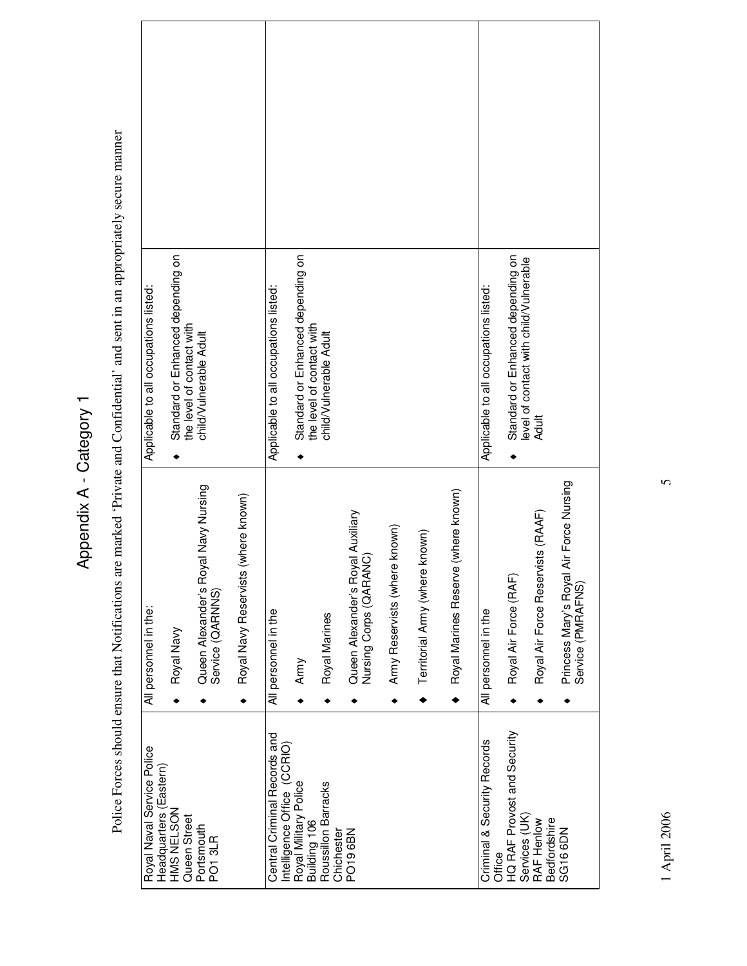| ٠ |
|---|
| ٢ |
| ١ |
| ì |
|   |
| ١ |
|   |
|   |
| ŕ |
|   |
|   |
|   |
|   |
|   |
|   |
|   |
|   |
|   |
| j |
|   |
|   |
|   |
|   |

| Royal Naval Service Police<br>Headquarters (Eastern)        | All personnel in the:                                        | Applicable to all occupations listed:                          |  |
|-------------------------------------------------------------|--------------------------------------------------------------|----------------------------------------------------------------|--|
| HMS NELSON<br>Queen Street                                  | Royal Navy                                                   | Standard or Enhanced depending on<br>the level of contact with |  |
| Portsmouth<br>PO <sub>13LR</sub>                            | Queen Alexander's Royal Navy Nursing<br>Service (QARNNS)     | child/Vulnerable Adult                                         |  |
|                                                             | Royal Navy Reservists (where known)                          |                                                                |  |
| Central Criminal Records and<br>Intelligence Office (CCRIO) | All personnel in the                                         | Applicable to all occupations listed:                          |  |
| Royal Military Police<br>Building 106                       | Army                                                         | Standard or Enhanced depending on                              |  |
| Roussillon Barracks<br>Chichester                           | Royal Marines                                                | the level of contact with<br>child/Vulnerable Adult            |  |
| PO <sub>196</sub> BN                                        | Queen Alexander's Royal Auxiliary<br>Nursing Corps (QARANC)  |                                                                |  |
|                                                             | Army Reservists (where known)                                |                                                                |  |
|                                                             | Territorial Army (where known)                               |                                                                |  |
|                                                             | Royal Marines Reserve (where known)                          |                                                                |  |
| Criminal & Security Records<br>Office                       | All personnel in the                                         | Applicable to all occupations listed:                          |  |
| HQ RAF Provost and Security<br>Services (UK)                | Royal Air Force (RAF)                                        | Standard or Enhanced depending on                              |  |
| Bedfordshire<br>RAF Henlow                                  | Royal Air Force Reservists (RAAF)                            | level of contact with child/Vulnerable<br>Adult                |  |
| SG16 6DN                                                    | Princess Mary's Royal Air Force Nursing<br>Service (PMRAFNS) |                                                                |  |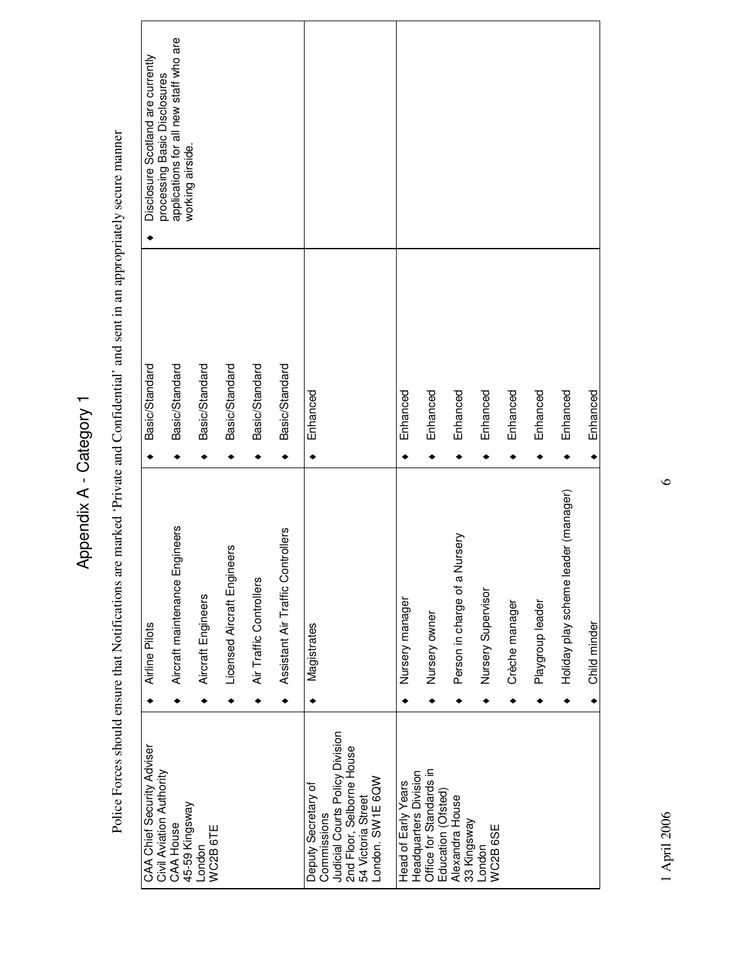| ı       |
|---------|
|         |
| ١<br>؛  |
|         |
| )<br>تم |
|         |
|         |
| 1       |
|         |
| 51      |
|         |
| ı       |
|         |
|         |
|         |
|         |
|         |
|         |
|         |
|         |
|         |
| į<br>l  |
|         |
|         |

| CAA Chief Security Adviser<br>Civil Aviation Authority                                                                | Airline Pilots                       | Basic/Standard | Disclosure Scotland are currently<br>processing Basic Disclosures |
|-----------------------------------------------------------------------------------------------------------------------|--------------------------------------|----------------|-------------------------------------------------------------------|
| 45-59 Kingsway<br><b>CAA House</b>                                                                                    | Aircraft maintenance Engineers       | Basic/Standard | applications for all new staff who are<br>working airside.        |
| WC2B 6TE<br>London                                                                                                    | Aircraft Engineers                   | Basic/Standard |                                                                   |
|                                                                                                                       | Licensed Aircraft Engineers          | Basic/Standard |                                                                   |
|                                                                                                                       | Air Traffic Controllers              | Basic/Standard |                                                                   |
|                                                                                                                       | Assistant Air Traffic Controllers    | Basic/Standard |                                                                   |
| Deputy Secretary of                                                                                                   | Magistrates                          | Enhanced       |                                                                   |
| Judicial Courts Policy Division<br>2nd Floor, Selborne House<br>London. SW1E 6QW<br>54 Victoria Street<br>Commissions |                                      |                |                                                                   |
| Headquarters Division<br>Head of Early Years                                                                          | Nursery manager                      | Enhanced       |                                                                   |
| Office for Standards in<br>Education (Ofsted)                                                                         | Nursery owner                        | Enhanced       |                                                                   |
| Alexandra House<br>33 Kingsway                                                                                        | rsery<br>Person in charge of a Nu    | Enhanced       |                                                                   |
| WC2B 6SE<br>London                                                                                                    | Nursery Supervisor                   | Enhanced       |                                                                   |
|                                                                                                                       | Crèche manager                       | Enhanced       |                                                                   |
|                                                                                                                       | Playgroup leader                     | Enhanced       |                                                                   |
|                                                                                                                       | Holiday play scheme leader (manager) | Enhanced       |                                                                   |
|                                                                                                                       | Child minder                         | Enhanced       |                                                                   |